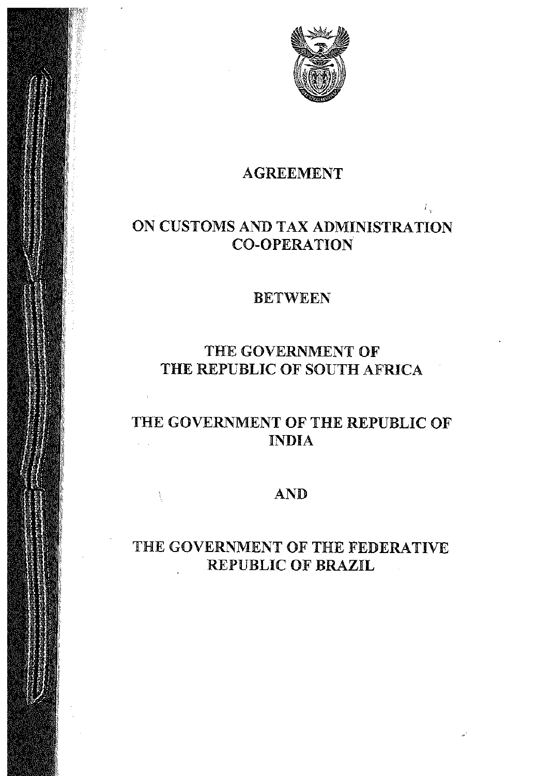

 $k_{\rm m}$ 

# AGREEMENT

# ON CUSTOMS AND TAX ADMINISTRATION CO-OPERATION

# BETWEEN

# THE GOVERNMENT OF THE REPUBLIC OF SOUTH AFRICA

### THE GOVERNMENT OF THE REPUBLIC OF INDIA  $\mathcal{L}^{\text{max}}$

# AND

V

# THE GOVERNMENT OF THE FEDERATIVE REPUBLIC OF BRAZIL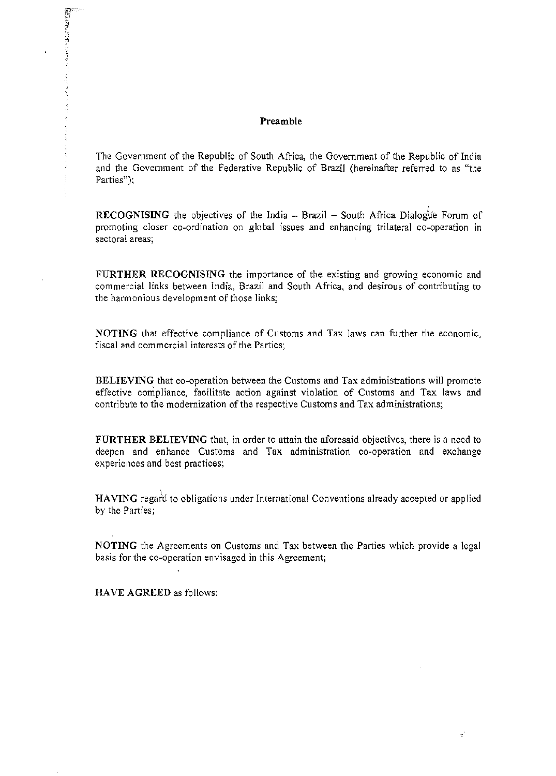### Preamble

The Government of the Republic of South Africa, the Government of the Republic of India and the Government of the Federative Republic of Brazil (hereinafter referred to as "the Parties"):

RECOGNISING the objectives of the India - Brazil - South Africa Dialogue Forum of promoting closer co-ordination on global issues and enhancing trilateral co-operation In sectoral areas;

FURTHER RECOGNISING the importance of the existing and growing economic and commercial links between India, Brazil and South Africa, and desirous of contributing to the harmonious development of those links;

NOTING that effective compliance of Customs and Tax laws can further the economic, fiscal and commercial interests of the Parties;

BELIEVING that co-operation between the Customs and Tax administrations will promote effective compliance, facilitate action against violation of Customs and Tax laws and contribute to the modernization of the respective Customs and Tax administrations;

FURTHER BELIEVING that, in order to attain the aforesaid objectives, there is a need to deepen and enhance Customs and Tax administration co~operation and exchange experiences and best practices;

HAVING regard to obligations under International Conventions already accepted or applied by the Parties;

NOTING the Agreements on Customs and Tax between the Parties Which provide a legal basis for the co-operation envisaged in this Agreement;

HAVE AGREED as follows: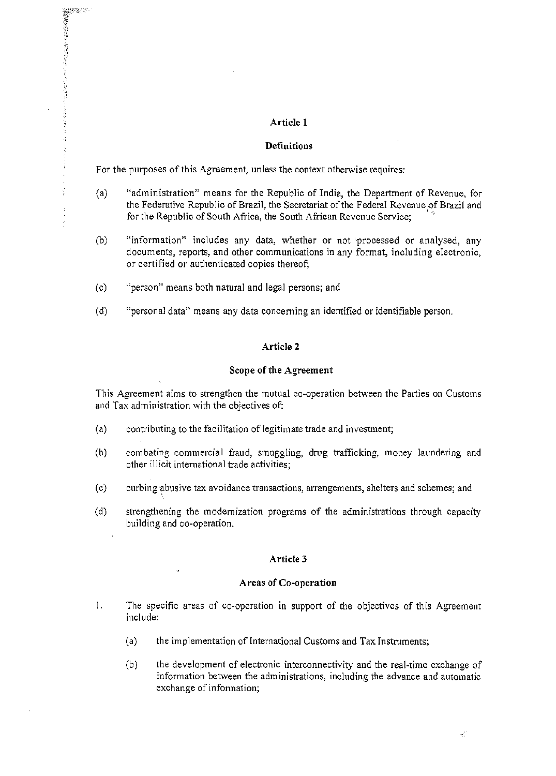### **Article 1**

### **Definitions**

For the purposes of this Agreement, unless the context otherwise requires:

- (a) "administration" means for the Republic of India, the Department of Revenue, for the Federative Republic of Brazil, the Secretariat of the Federal Revenue of Brazil and for the Republic of South Africa, the South African Revenue Service;
- (b) "information" includes any data, whether or not 'processed or analysed, any documents, reports, and other communications in any format, including electronic, or certified or authenticated copies thereof;
- (c) "person" means both natural and legal persons; and
- (d) "personal data" means any data concerning an identified or identifiable person.

### **Article 2**

### **Scope of the Agreement**

This Agreement aims to strengthen the mutual co~operation between the Parties on Customs and Tax administration with the objectives of:

- (a) contributing to the facilitation of legitimate trade and investment;
- (b) combating commercial fraud, smuggling, drug trafficking, money laundering and other illicit international trade activities;
- (c) curbing~busive tax avoidance transactions, arrangements, shelters and schemes; and
- (d) strengthening the modernization programs of the administrations through capacity building and co-operation.

### **Article 3**

#### Areas **of Co-operation**

- 1. The specific areas of co-operation in support of the objectives of this Agreement include:
	- (a) the implementation of Intemational Customs and Tax Instruments;
	- (b) the development of electronic interconnectivity and the real-time exchange of information between the administrations, including the advance and automatic exchange of information;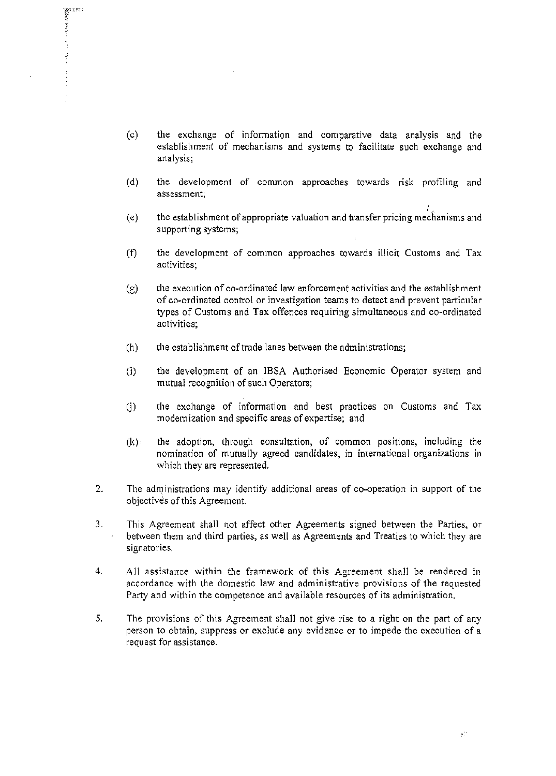- (c) the exchange of information and comparative data analysis and the establishment of mechanisms and systems to facilitate such exchange and analysis;
- (d) the development of common approaches towards risk profiling and assessment;
- ,, (e) the establishment of appropriate valuation and transfer pricing mechanisms and supporting systems;
- (f) the development of common approaches towards illicit Customs and Tax activities;
- $(g)$  the execution of co-ordinated law enforcement activities and the establishment of co-ordinated control or investigation teams to detect and prevent particular types of Customs and Tax offences requiring simultaneous and co-ordinated activities;
- $(h)$  the establishment of trade lanes between the administrations;
- (i) the development of an IBSA Authorised Economic Operator system and mutual recognition of such Operators;
- $(i)$  the exchange of information and best practices on Customs and Tax modernization and specific areas of expertise; and
- $(k)$  the adoption, through consultation, of common positions, including the nomination of mutually agreed candidates, in intemational organizations in which they are represented.
- 2. The administrations may identify additional areas of co-operation in support of the objectives ofthis Agreement.
- 3. This Agreement shall not affect other Agreements signed between the Parties, or between them and third parties, as well as Agreements and Treaties to which they are signatories.
- 4. All assistance within the framework of this Agreement shall be rendered in accordance with the domestic law and administrative provisions of the requested Party and within the competence and available resources of its administration.
- 5. The provisions of this Agreement shall not give rise to a right on the part of any person to obtain, suppress or exclude any evidence or to impede the execution of a request for assistance.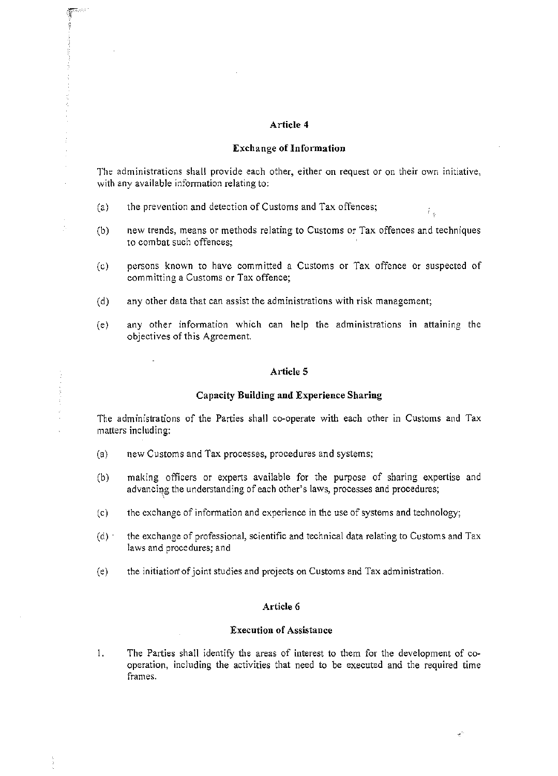### Article 4

### Exchange of Information

The administrations shall provide each other, either on request or on their own initiative, with any available information relating to:

- (a) the prevention and detection of Customs and Tax offences;
- (b) new trends, means or methods relating to Customs or Tax offences and techniques to combat such offences;

ŕ.

- (c) persons known to have committed a Customs or Tax offence Or suspected of committing a Customs or Tax offence;
- (d) any other data that can assist the administrations with risk management;
- (e) any other information which can help the administrations in attaining the objectives of this Agreement.

### Article 5

### Capacity Building and Experience Sharing

The administrations of the Parties shall co-operate with each other in Customs and Tax matters including:

- (a) new Customs and Tax processes, procedures and systems;
- (b) making officers or experts available for the purpose of sharing expertise and advancing the understanding of each other's laws, processes and procedures;
- $(c)$  the exchange of information and experience in the use of systems and technology;
- (d)' the exchange of professional, scientific and technical data relating to Customs and Tax laws and procedures; and
- (e) the initiation' ofjoint studies and projects on Customs and Tax administration.

#### Article 6

### Execution of Assistance

1. The Parties shall identify the areas of interest to them for the development of co· operation, including the activities that need to be executed and the required time frames.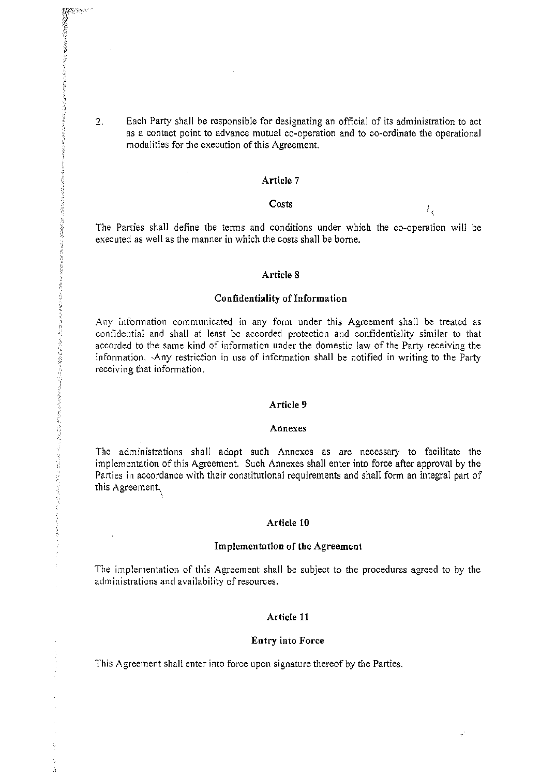2. Each Party shall be responsible for designating an official of its administration to act as a contact point to advance mutual co-operation and to co-ordinate the operational modalities for the execution of this Agreement.

### Article 7

#### Costs

The Parties shall define the terms and conditions under which the co-operation will be executed as well as the manner in which the costs shall be borne.

ŧ,

#### Article 8

#### Confidentiality of Information

Any information communicated in any form under this Agreement shall be treated as confidential and shall at least be accorded protection and confidentiality similar to that accorded to the same kind of information under the domestic law of the Party receiving the in formation.-Any restriction in use of information shall be notified in writing to the Party receiving that information.

#### Article 9

#### Annexes

The administrations shall adopt such Annexes as are necessary to facilitate the implementation ofthis Agreement. Such Annexes shall enter into force after approval by the Parties in accordance with their constitutional requirements and shall form an integral part of this Agreement,

#### Article 10

#### Implementation of the Agreement

The implementation of this Agreement shall be subject to the procedures agreed to by the administrations and availability of resources.

#### Article 11

#### Entry into Force

This Agreement shall enter into force upon signature thereof by the Parties.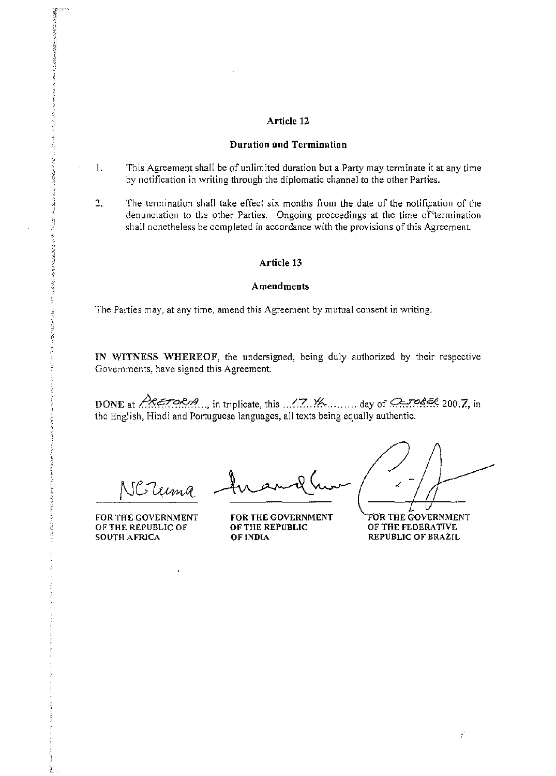### Article 12

#### Duration and Termination

- 1. This Agreement shall be of unlimited duration but a Party may tenninate it at any time by notification in writing through the diplomatic channel to the other Parties.
- 2. The termination shall take effect six months from the date of the notification of the denunciation to the other Parties. Ongoing proceedings at the time of termination shall nonetheless be completed in accordance with the provisions of this Agreement.

#### Article 13

#### Amendments

The Parties may, at any time, amend this Agreement by mutual consent in writing.

IN WITNESS WHEREOF, the undersigned, being duly authorized by their respective Govemments, have signed this Agreement

DONE at  $\triangle$ KETORIA..., in triplicate, this  $\therefore$  7.  $\forall$  A. ........ day of  $\triangle$ -rocket 200.7, in the English, Hindi and Portuguese languages, all texts being equally authentic.

leima

FOR THE GOVERNMENT OF THE REPUBLIC OF SOUTH AFRICA

FOR THE GOVERNMENT OF THE REPUBLIC OF INDIA

FOR THE GOVERNMENT OFTHE FEDERATIVE REPUBLIC OF BRAZIL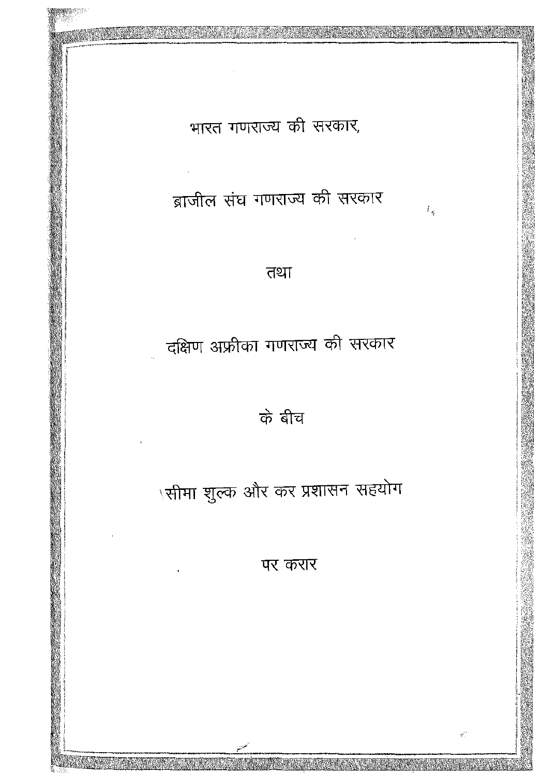पर करार

# \सीमा शुल्क और कर प्रशासन सहयोग

के बीच

# दक्षिण अफ्रीका गणराज्य की सरकार

तथा

ब्राजील संघ गणराज्य की सरकार

 $t_{\rm g}$ 

وفرد

भारत गणराज्य की सरकार,

 $\sim$   $\sim$ 

 $\mathcal{L}^{(1)}$ 

 $\bar{1}$ 

 $\hat{\mathbf{a}}$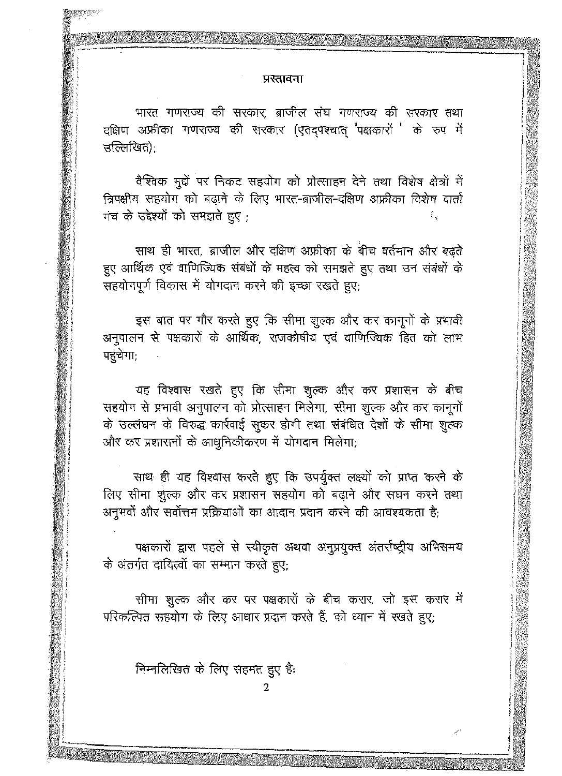#### प्रस्तावना

भारत गणराज्य की सरकार, ब्राजील संघ गणराज्य की सरकार तथा दक्षिण अफ्रीका गणराज्य की सरकार (एतद्पश्चात् "पक्षकारों " के रुप में उल्लिखित):

वैश्विक मुद्दों पर निकट सहयोग को प्रोत्साहन देने तथा विशेष क्षेत्रों में त्रिपक्षीय सहयोग को बढ़ाने के लिए भारत-ब्राजील-दक्षिण अफ्रीका विशेष वार्ता मंच के उद्देश्यों को समझते हुए :  $t_{\rm w}$ 

साथ ही भारत, ब्राजील और दक्षिण अफ्रीका के बीच वर्तमान और बढ़ते हुए आर्थिक एवं वाणिज्यिक संबंधों के महत्व को समझते हुए तथा उन संबंधों के सहयोगपूर्ण विकास में योगदान करने की इच्छा रखते हुए;

इस बात पर गौर करते हुए कि सीमा शुल्क और कर कानूनों के प्रभावी अनुपालन से पक्षकारों के आर्थिक, राजकोषीय एवं वाणिज्यिक हित को लाभ पहुंचेगा;

यह विश्वास रखते हुए कि सीमा शुल्क और कर प्रशासन के बीच सहयोग से प्रभावी अनुपालन को प्रोत्साहन मिलेगा, सीमा शुल्क और कर कानूनों के उल्लंघन के विरुद्ध कार्रवाई सुकर होगी तथा संबंधित देशों के सीमा शुल्क और कर प्रशासनों के आधुनिकीकरण में योगदान मिलेगा;

साथ ही यह विश्वास करते हुए कि उपर्युक्त लक्ष्यों को प्राप्त करने के लिए सीमा शुल्क और कर प्रशासन सहयोग को बढ़ाने और सघन करने तथा अनुभवों और सर्वोत्तम प्रक्रियाओं का आदान प्रदान करने की आवश्यकता है;

पक्षकारों द्वारा पहले से स्वीकृत अथवा अनुप्रयुक्त अंतर्राष्ट्रीय अभिसमय के अंतर्गत दायित्वों का सम्मान करते हुए:

सीमा शुल्क और कर पर पक्षकारों के बीच करार, जो इस करार में परिकल्पित सहयोग के लिए आधार प्रदान करते हैं, को ध्यान में रखते हुए;

निम्नलिखित के लिए सहमत हुए है: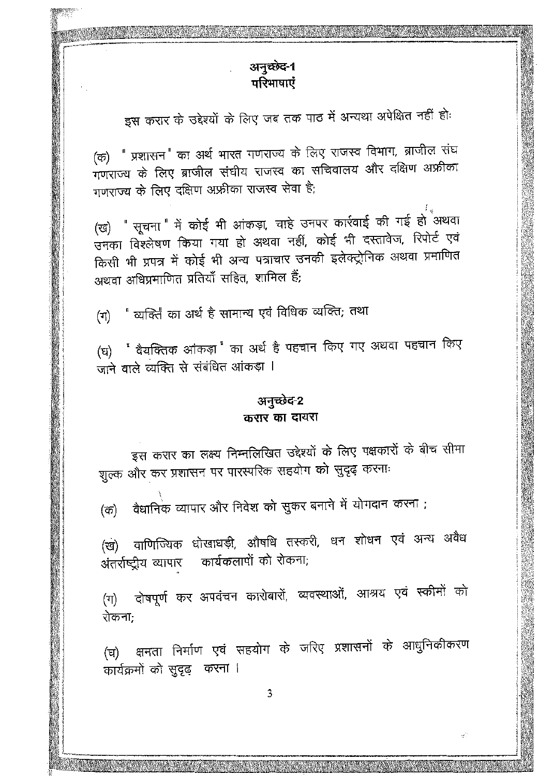# अनुच्छेद-1 परिभाषाएं

इस करार के उद्देश्यों के लिए जब तक पाठ में अन्यथा अपेक्षित नहीं हो:

(क) " प्रशासन" का अर्थ भारत गणराज्य के लिए राजस्व विभाग, ब्राजील संघ गणराज्य के लिए ब्राजील संघीय राजस्व का सचिवालय और दक्षिण अफ्रीका गणराज्य के लिए दक्षिण अफ्रीका राजस्व सेवा है;

(ख) " सूचना " में कोई भी आंकड़ा, चाहे उनपर कार्रवाई की गई हो अथवा उनका विश्लेषण किया गया हो अथवा नहीं, कोई भी दस्तावेज, रिपोर्ट एवं किसी भी प्रपत्र में कोई भी अन्य पत्राचार उनकी इलेक्ट्रोनिक अथवा प्रमाणित अथवा अधिप्रमाणित प्रतियाँ सहित, शामिल हैं:

" व्यक्ति का अर्थ है सामान्य एवं विधिक व्यक्ति; तथा  $(\pi)$ 

(घ) " वैयक्तिक आंकड़ा " का अर्थ है पहचान किए गए अथवा पहचान किए जाने वाले व्यक्ति से संबंधित आंकड़ा ।

# अनुच्छेद-2 करार का दायरा

इस करार का लक्ष्य निम्नलिखित उद्देश्यों के लिए पक्षकारों के बीच सीमा शुल्क और कर प्रशासन पर पारस्परिक सहयोग को सुदृढ़ करना:

वैधानिक व्यापार और निवेश को सुकर बनाने में योगदान करना ; (क)

(ख) वाणिज्यिक धोखाधड़ी, औषधि तस्करी, धन शोधन एवं अन्य अवैध अंतर्राष्ट्रीय व्यापार कार्यकलापों को रोकना;

(ग) दोषपूर्ण कर अपवंचन कारोबारों, व्यवस्थाओं, आश्रय एवं स्कीमों को रोकना;

(घ) क्षमता निर्माण एवं सहयोग के जरिए प्रशासनों के आधुनिकीकरण कार्यक्रमों को सुदृढ़ करना ।

 $\tau_{e}^{(t)}$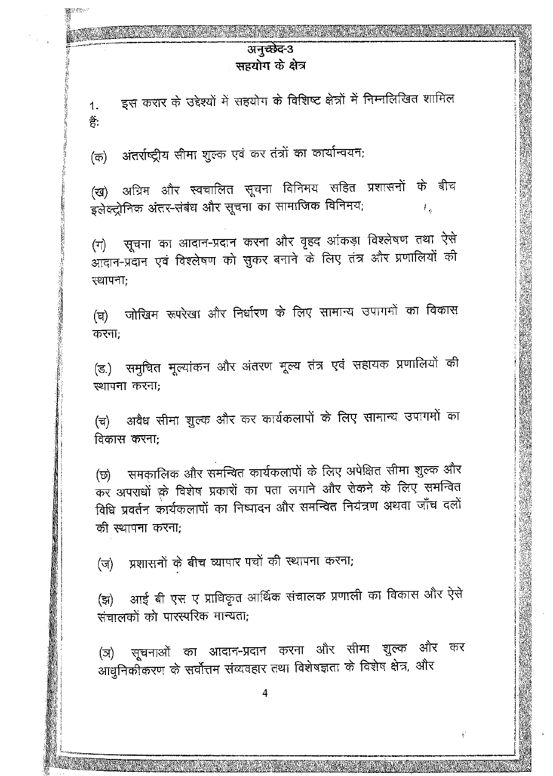# अनुच्छेद-3 सहयोग के क्षेत्र

इस करार के उद्देश्यों में सहयोग के विशिष्ट क्षेत्रों में निम्नलिखित शामिल  $1.$ 쏡.

अंतर्राष्ट्रीय सीमा शुल्क एवं कर तंत्रों का कार्यान्वयन; (क)

(ख) अग्रिम और स्वचालित सूचना विनिमय सहित प्रशासनों के बीच इलेक्ट्रोनिक अंतर-संबंध और सूचना का सामाजिक विनिमय;  $\tilde{E}_k$ 

(ग) सूचना का आदान-प्रदान करना और वृहद आंकड़ा विश्लेषण तथा ऐसे आदान-प्रदान एवं विश्लेषण को सुकर बनाने के लिए तंत्र और प्रणालियों की स्थापना:

जोखिम रूपरेखा और निर्धारण के लिए सामान्य उपागमों का विकास (ਬ) करना:

(ड.) समुचित मूल्यांकन और अंतरण मूल्य तंत्र एवं सहायक प्रणालियों की ख्यापना करना:

(च) अवैध सीमा शुल्क और कर कार्यकलापों के लिए सामान्य उपागमों का विकास करना:

(छ) समकालिक और समन्वित कार्यकलापों के लिए अपेक्षित सीमा शुल्क और कर अपराधों के विशेष प्रकारों का पता लगाने और रोकने के लिए समन्वित विधि प्रवर्तन कार्यकलापों का निष्पादन और समन्वित नियंत्रण अथवा जाँच दलों की स्थापना करना;

(ज) प्रशासनों के बीच व्यापार पचों की स्थापना करना;

आई बी एस ए प्राधिकृत आर्थिक संचालक प्रणाली का विकास और ऐसे (झ) संचालकों को पारस्परिक मान्यता:

(ञ) सूचनाओं का आदान-प्रदान करना और सीमा शुल्क और कर आधुनिकीकरण के सर्वोत्तम संव्यवहार तथा विशेषज्ञता के विशेष क्षेत्र, और

4

 $\tilde{\gamma}^{\prime}$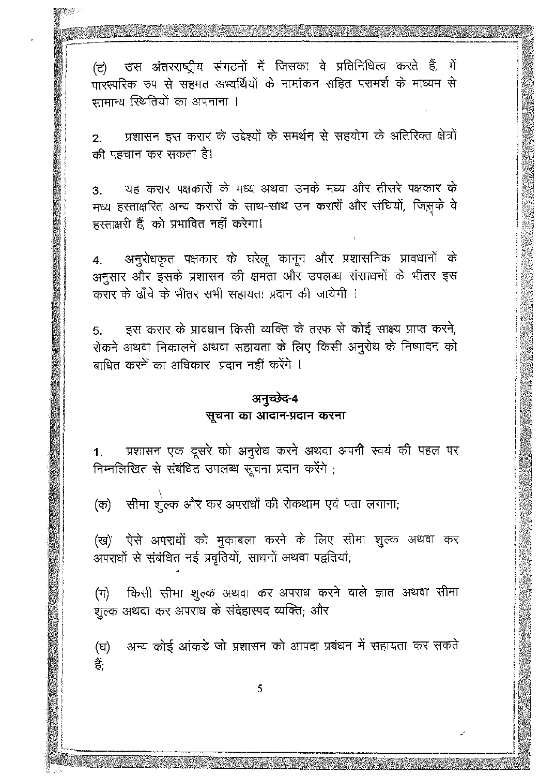(ट) उस अंतरराष्ट्रीय संगठनों में जिसका वे प्रतिनिधित्व करते हैं, में ्<br>पारस्परिक रुप से सहमत अभ्यर्थियों के नामांकन सहित परामर्श के माध्यम से सामान्य स्थितियों का अपनाना ।

प्रशासन इस करार के उद्देश्यों के समर्थन से सहयोग के अतिरिक्त क्षेत्रों  $2.$ की पहचान कर सकता है।

यह करार पक्षकारों के मध्य अथवा उनके मध्य और तीसरे पक्षकार के 3. मध्य हस्ताक्षरित अन्य करारों के साथ-साथ उन करारों और संघियों, जिस्रके वे हस्ताक्षरी हैं. को प्रभावित नहीं करेगा।

अनुरोधकृत पक्षकार के घरेलू कानून और प्रशासनिक प्रावधानों के  $4.$ अनुसार और इसके प्रशासन की क्षमता और उपलब्ध संसाधनों के भीतर इस करार के ढाँचे के भीतर सभी सहायता प्रदान की जायेगी ।

इस करार के प्रावधान किसी व्यक्ति के तरफ से कोई साक्ष्य प्राप्त करने, 5. रोकने अथवा निकालने अथवा सहायता के लिए किसी अनुरोध के निष्पादन को बाधित करने का अधिकार प्रदान नहीं करेंगे ।

# अनुच्छेद-4 सूचना का आदान-प्रदान करना

प्रशासन एक दूसरे को अनुरोध करने अथवा अपनी स्वयं की पहल पर  $1.$ निम्नलिखित से संबंधित उपलब्ध सूचना प्रदान करेंगे ;

(क) सीमा शुल्क और कर अपराधों की रोकथाम एवं पता लगाना;

(ख) ऐसे अपराधों को मुकाबला करने के लिए सीमा शुल्क अथवा कर अपराधों से संबंधित नई प्रवृतियों, साधनों अथवा पद्वतियां;

(ग) किसी सीमा शुल्क अथवा कर अपराध करने वाले ज्ञात अथवा सीमा शुल्क अथवा कर अपराध के संदेहास्पद व्यक्ति; और

अन्य कोई आंकड़े जो प्रशासन को आपदा प्रबंधन में सहायता कर सकते (घ) ਵੇਂ:

أجر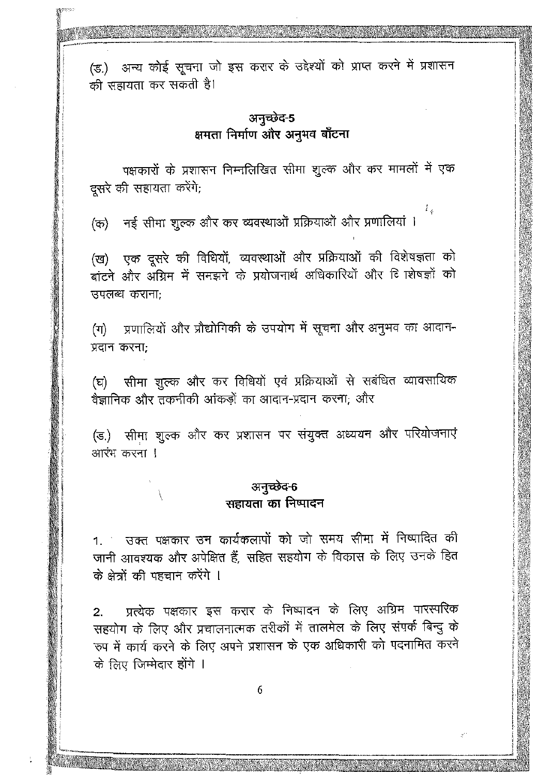(इ.) अन्य कोई सूचना जो इस करार के उद्देश्यों को प्राप्त करने में प्रशासन की सहायता कर सकती है।

# अनुच्छेद-5 क्षमता निर्माण और अनुभव बाँटना

पक्षकारों के प्रशासन निम्नलिखित सीमा शूल्क और कर मामलों में एक दसरे की सहायता करेंगे;

t.

ξÜ,

(क) नई सीमा शुल्क और कर व्यवस्थाओं प्रक्रियाओं और प्रणालियां ।

(ख) एक दूसरे की विधियों, व्यवस्थाओं और प्रक्रियाओं की विशेषज्ञता को ्<br>बांटने और अग्रिम में समझने के प्रयोजनार्थ अधिकारियों और 6ि शिषज्ञों को उपलब्ध कराना:

(ग) प्रणालियों और प्रौद्योगिकी के उपयोग में सूचना और अनुभव का आदान-प्रदान करना:

(घ) सीमा शुल्क और कर विधियों एवं प्रक्रियाओं से सबंधित व्यावसायिक वैज्ञानिक और तकनीकी आंकड़ों का आदान-प्रदान करना; और

(ड.) सीमा शुल्क और कर प्रशासन पर संयुक्त अध्ययन और परियोजनाएं आरंभ करना !

# अनुच्छेद-6 सहायता का निष्पादन

 $\setminus$ 

1. उक्त पक्षकार उन कार्यकलापों को जो समय सीमा में निष्पादित की जानी आवश्यक और अपेक्षित हैं, सहित सहयोग के विकास के लिए उनके हित के क्षेत्रों की पहचान करेंगे ।

प्रत्येक पक्षकार इस करार के निष्पादन के लिए अग्रिम पारस्परिक  $2.$ सहयोग के लिए और प्रचालनात्मक तरीकों में तालमेल के लिए संपर्क बिन्दु के रुप में कार्य करने के लिए अपने प्रशासन के एक अधिकारी को पदनामित करने के लिए जिम्मेदार होंगे ।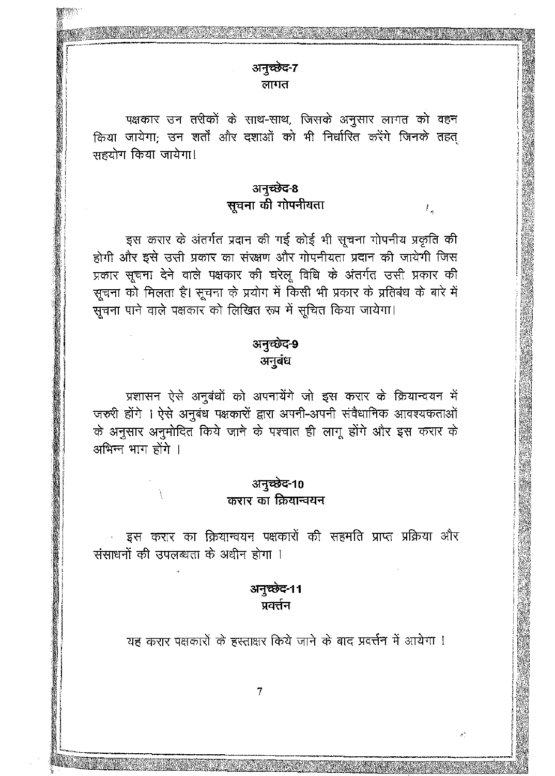पक्षकार उन तरीकों के साथ-साथ, जिसके अनुसार लागत को वहन किया जायेगा; उन शर्तों और दशाओं को भी निर्धारित करेंगे जिनके तहत् सहयोग किया जायेगा!

> अनुच्छेद-8 सूचना की गोपनीयता

λg.

इस करार के अंतर्गत प्रदान की गई कोई भी सूचना गोपनीय प्रकृति की होगी और इसे उसी प्रकार का संरक्षण और गोपनीयता प्रदान की जायेगी जिस प्रकार सूचना देने वाले पक्षकार की घरेलू विधि के अंतर्गत उसी प्रकार की सूचना को मिलता है। सूचना के प्रयोग में किसी भी प्रकार के प्रतिबंध के बारे में सूचना पाने वाले पक्षकार को लिखित रूप में सूचित किया जायेगा।

# अनुच्छेद-9 अनुबंध

प्रशासन ऐसे अनुबंधों को अपनायेंगे जो इस करार के क्रियान्वयन में जरुरी होंगे । ऐसे अनुबंध पक्षकारों द्वारा अपनी-अपनी संवैधानिक आवश्यकताओं के अनुसार अनुमोदित किये जाने के पश्चात ही लागू होंगे और इस करार के अभिन्न भाग होंगे ।

# अनुच्छेद-10 करार का क्रियान्वयन

इस करार का क्रियान्वयन पक्षकारों की सहमति प्राप्त प्रक्रिया और संसाधनों की उपलब्धता के अधीन होगा ।

# अनुच्छेद-11 प्रवर्त्तन

यह करार पक्षकारों के हस्ताक्षर किये जाने के बाद प्रवर्त्तन में आयेगा !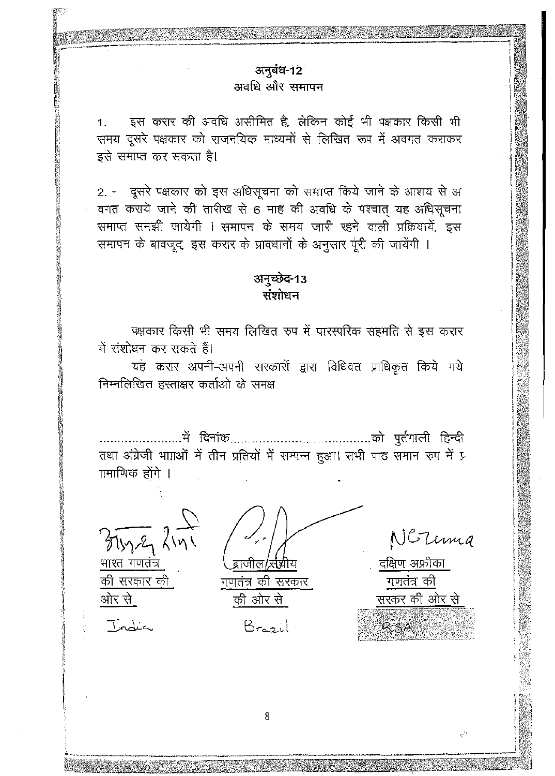# अनुबंध-12 अवधि और समापन

इस करार की अवधि असीमित है, लेकिन कोई भी पक्षकार किसी भी  $1.$ समय दूसरे पक्षकार को राजनयिक माध्यमों से लिखित रूप में अवगत कराकर इसे समाप्त कर सकता है।

2. - दूसरे पक्षकार को इस अधिसूचना को समाप्त किये जाने के आशय से अ वगत कराये जाने की तारीख से 6 माह की अवधि के पश्चात यह अधिसूचना समाप्त समझी जायेगी । समापन के समय जारी रहने वाली प्रक्रियायें, इस समापन के बावजूद, इस करार के प्रावधानों के अनुसार पूरी की जायेंगी ।

# अनुच्छेद-13 संशोधन

पक्षकार किसी भी समय लिखित रुप में पारस्परिक सहमति से इस करार में संशोधन कर सकते हैं।

यह करार अपनी-अपनी सरकारों द्वारा विधिवत प्राधिकृत किये गये निम्नलिखित हस्ताक्षर कर्ताओं के समक्ष

तथा अंग्रेजी भााओं में तीन प्रतियों में सम्पन्न हुआ। सभी पाठ समान रुप में प्र ामाणिक होंगे ।

भारत गणतंत्र

की सरकार की ओर से

Tondia

ब्राजील, सप्राय

गणतंत्र की सरकार की ओर से

Brosil

NGTerma

दक्षिण अफ्रीका गणतंत्र की सरकर की ओर से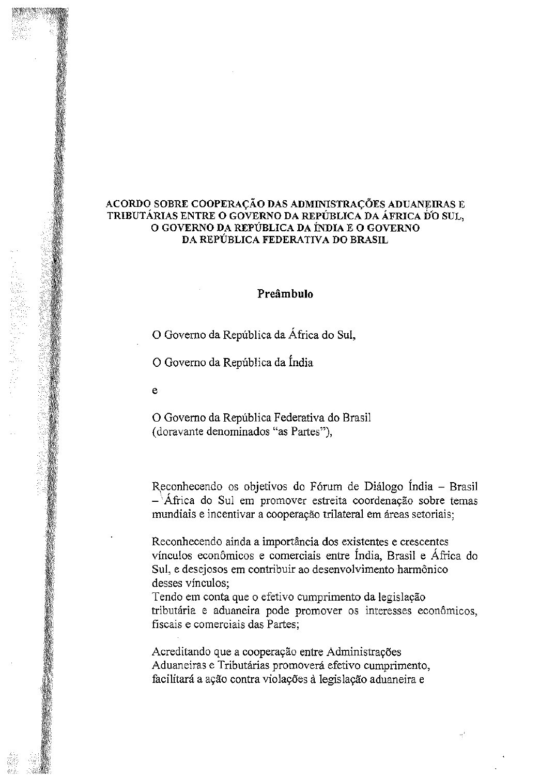### ACORDO SOBRE COOPERAÇÃO DAS ADMINISTRAÇÕES ADUANEIRAS E TRIBUTÁRIAS ENTRE O GOVERNO DA REPÚBLICA DA ÁFRICA DO SUL, o GOVERNO DA REPUBLICA DA iNDIA E 0 GOVERNO DA REPÚBLICA FEDERATIVA DO BRASIL

### Preâmbulo

o Governo da Republica da Africa do SuI,

o Governo da Republica da fndia

e

o Governo da Republica Federativa do Brasil **(doravante denominados "as Partes"),**

Reconhecendo os objetivos do Fórum de Diálogo Índia - Brasil **- "Africa do SuI em promover estreita coordenayao sabre temas mundiais e incentivar a cooperayao trilateral em areas setoriais;**

**Reconhecendo ainda a importancia dos existentes e crescentes vinculos economicos e comerciais entre India, Brasil e Africa do SuI, e desejosos em contribuir ao desenvolvimento harmonica desses vinculos;**

**Tendo em conta que <sup>0</sup> efetivo cumprimento da legislayao tributaria e aduaneira pade promover as interesses econ6micos, fiscais e comerciais das Partes;**

Ą.

**Acreditando que a cooperayao entre Administrayoes Aduaneiras e Tributarias promovera efetivo cumprimento, facilitara <sup>a</sup> a<;ao contra violayoes alegislayao aduaneira <sup>e</sup>**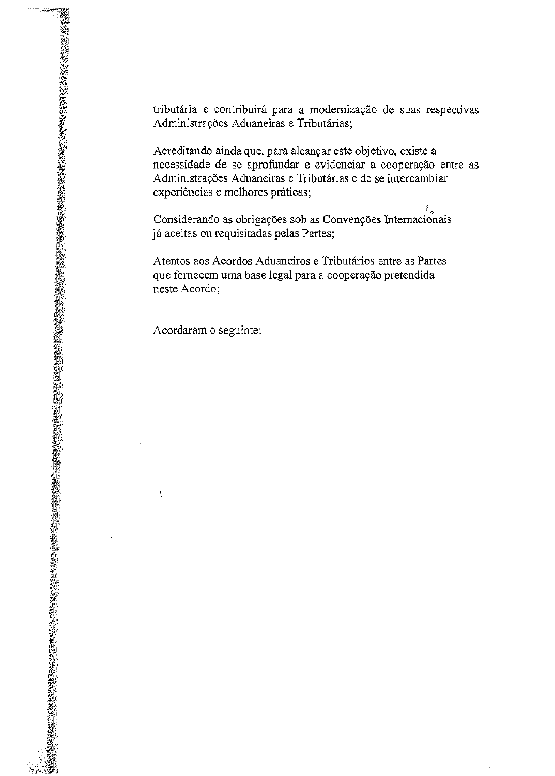tributária e contribuirá para a modernização de suas respectivas Administrações Aduaneiras e Tributárias;

Aereditando aindaque, para aleanyar este objetivo, existe a necessidade de se aprofundar e evidenciar a cooperayao entre as Administrayoes Aduaneiras e Tributarias e de se intercambiar experiências e melhores práticas;

 $^{\prime}$  . Considerando as obrigações sob as Convenções Internacionais ja aceitas ou requisitadas pelas Partes;

Atentos aos Acordos Aduaneiros e Tributarios entre as Partes que fornecem uma base legal para a cooperação pretendida neste Acordo;

Acordaram 0 seguinte:

 $\setminus$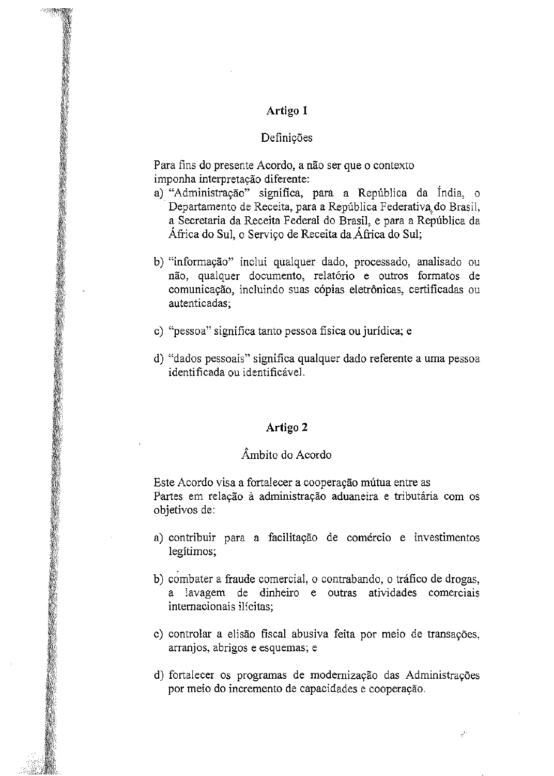### Definições

**Para fins do presente Acordo, a nao ser que <sup>0</sup> contexta** imponha interpretação diferente:

- a) "Administração" significa, para a República da Índia, o Departamento de Receita, para a República Federativa do Brasil, a Secretaria da Receita Federal do Brasil, e para a Republica da África do Sul, o Serviço de Receita da África do Sul;
- b) **"informayao" inclui qualquer dado, processado, analisado ou nao, qualquer documenta, relat6rio e outros formatas de comunica9ao, incluindo suas c6pias eletr6nicas, certificadas ou autenticadas;**
- c) **"pessoa" significa tanto pessoa fisica ou juridica; e**
- d) "dados pessoais" significa qualquer dado referente a uma pessoa **identificada ou identificavel.**

### Artigo 2

### Ambito do Acordo

**Este Acordo visa a fortalecer a cooperayao mutua entre as p.artes em relayao Ii administrayao aduaneira e tributaria com os** objetivos de:

- **a) contribuir para a facilita9ao de comercio e investimentos legitimos;**
- b) combater a fraude comercial, o contrabando, o tráfico de drogas, **a lavagem de dinheiro e outras atividades comerciais**  $internacionais$  *internacionais ilícitas*:
- c) **controlar a elisao fiscal abusiva feita por meio de transa<;:oes, arranjos, abrigos e esquemas; e**
- d) fortalecer os programas de modernização das Administrações **por meio do incremento de capacidades e coopera<;:ao.**

 $e^{\prime}$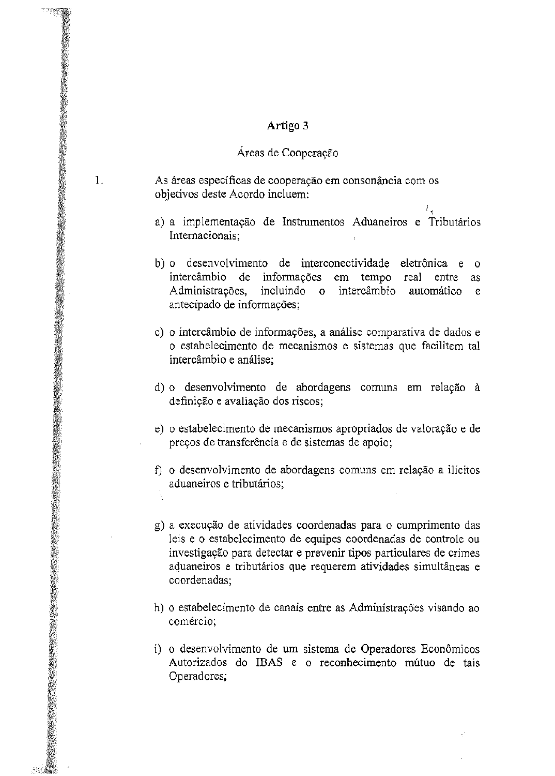# Áreas de Cooperação

1.

As áreas específicas de cooperação em consonância com os objetivos deste Acordo incluem: ,,

- , a) a implementação de Instrumentos Aduaneiros e Tributários Internacionais;
- b) 0 desenvolvimento de interconectividade eletr6nica e 0 intercâmbio de informações em tempo real entre as Administrações, incluindo o intercâmbio automático e antecipado de informações;
- c) o intercâmbio de informações, a análise comparativa de dados e o estabelecimento de mecanismos e sistemas que facilitem tal intercâmbio e análise:
- d) o desenvolvimento de abordagens comuns em relação à definição e avaliação dos riscos;
- e) o estabelecimento de mecanismos apropriados de valoração e de preços de transferência e de sistemas de apoio;
- f) o desenvolvimento de abordagens comuns em relação a ilícitos aduaneiros e tributarios;
- g) a execução de atividades coordenadas para o cumprimento das leis e 0 estabelecimento de equipes coordenadas de controle ou investigayao para detectar e prevenir tipos particulares de crimes aduaneiros e tributários que requerem atividades simultâneas e coordenadas;
- h) o estabelecimento de canais entre as Administrações visando ao comercio;
- i) o desenvolvimento de um sistema de Operadores Econômicos Autorizados do IBAS e o reconhecimento mútuo de tais Operadores;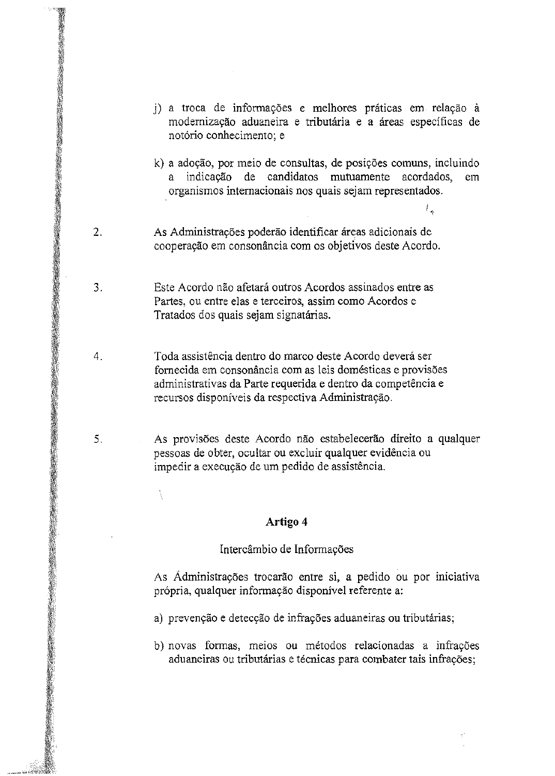- j) a troca de informações e melhores práticas em relação à modernizayao aduaneira e tributaria e a areas especificas de notorio conhecimento; e
- k) a adoção, por meio de consultas, de posições comuns, incluindo a indicayao de candidatos mutuamente acordados, em organismos intemacionais nos quais sejam representados.

, r "

- $\overline{2}$ . As Administrações poderão identificar áreas adicionais de cooperação em consonância com os objetivos deste Acordo.
- Este Acordo não afetará outros Acordos assinados entre as 3. Partes, ou entre elas e terceiros, assim como Acordos e Tratados dos quais sejam signatárias.
- 4. Toda assistência dentro do marco deste Acordo deverá ser fornecida em consonância com as leis domésticas e provisões administrativas da Parte requerida e dentro da competencia e recursos disponíveis da respectiva Administração.
- 5. As provisões deste Acordo não estabelecerão direito a qualquer pessoas de obter, ocultar ou excluir qualquer evidencia ou impedir a execução de um pedido de assistência.

### Artigo 4

À

### Intercâmbio de Informações

As Ádministrações trocarão entre si, a pedido ou por iniciativa própria, qualquer informação disponível referente a:

- a) prevenção e detecção de infrações aduaneiras ou tributárias;
- b) novas formas, meios ou métodos relacionadas a infrações aduaneiras ou tributárias e técnicas para combater tais infrações;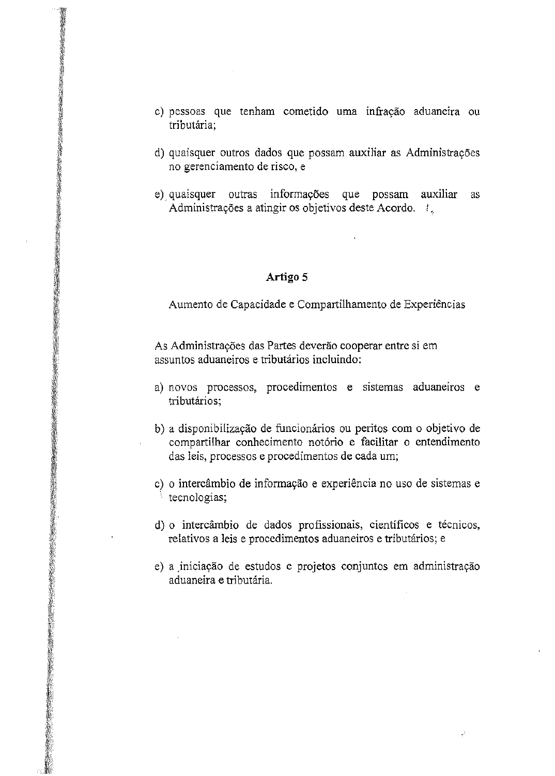- c) pessoas que tenham cometido uma infração aduaneira ou tributaria;
- d) quaisquer outros dados que possam auxiliar as Administrações no gerenciamento de risco, e
- e) quaisquer outras informações que possam auxiliar as Administrações a atingir os objetivos deste Acordo. !

Aumento de Capacidade e Compartilhamento de Experiências

As Administrações das Partes deverão cooperar entre si em assuntos aduaneiros e tributarios incluindo:

- a) novos processos, procedimentos e sistemas aduaneiros e tributarios;
- b) a disponibilização de funcionários ou peritos com o objetivo de compartilhar conhecimento notório e facilitar o entendimento das leis, processos e procedimentos de cada um;
- c) o intercâmbio de informação e experiência no uso de sistemas e tecnologias;
- d) o intercâmbio de dados profissionais, científicos e técnicos, relativos a leis e procedimentos aduaneiros e tributarios; e
- e) a iniciação de estudos e projetos conjuntos em administração aduaneira e tributaria.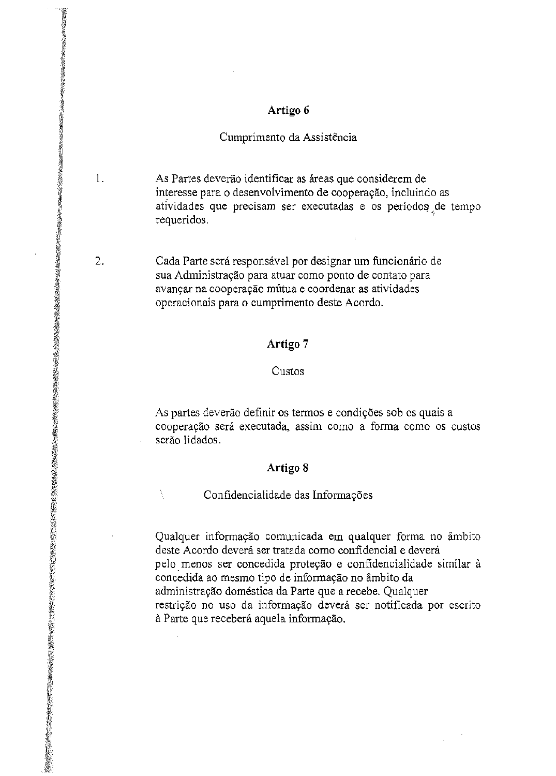## Cumprimento da Assistência

1. As Partes deverao identificar as areas que considerem de interesse para o desenvolvimento de cooperação, incluindo as atividades que precisam ser executadas e os períodos de tempo requeridos.

2. Cada Parte será responsável por designar um funcionário de sua Administração para atuar como ponto de contato para avançar na cooperação mútua e coordenar as atividades operacionais para 0 cumprimento deste Acordo.

## Artigo 7

### Custos

As partes deverão definir os termos e condições sob os quais a cooperac;ao sera executada, assim COmo a forma como os custos serão lidados.

# Artigo 8

Confidencialidade das Informações

X

Qualquer informação comunicada em qualquer forma no âmbito deste Acordo deverá ser tratada como confidencial e deverá pelo. menos ser concedida proteyao <sup>e</sup> confidencialidade similar a concedida ao mesmo tipo de infonnayao no ambito da administrayao dornestica da Parte que a recebe. Qualquer restrição no uso da informação deverá ser notificada por escrito à Parte que receberá aquela informação.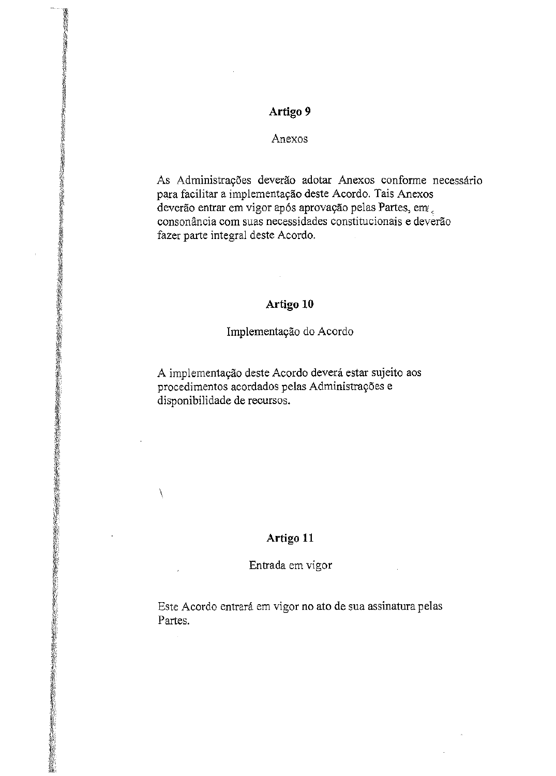### Anexos

As Administrações deverão adotar Anexos conforme necessário para facilitar a implementayao deste Acordo. Tais Anexos deverão entrar em vigor após aprovação pelas Partes, em consonância com suas necessidades constitucionais e deverão fazer parte integral deste Acordo.

# Artigo 10

### Implementação do Acordo

A implementação deste Acordo deverá estar sujeito aos procedimentos acordados pelas Administrações e disponibilidade de recursos.

# Artigo 11

 $\mathcal{L}$ 

### Entrada em vigor

Este Acordo entrara em vigor no ato de sua assinatura pelas Partes.